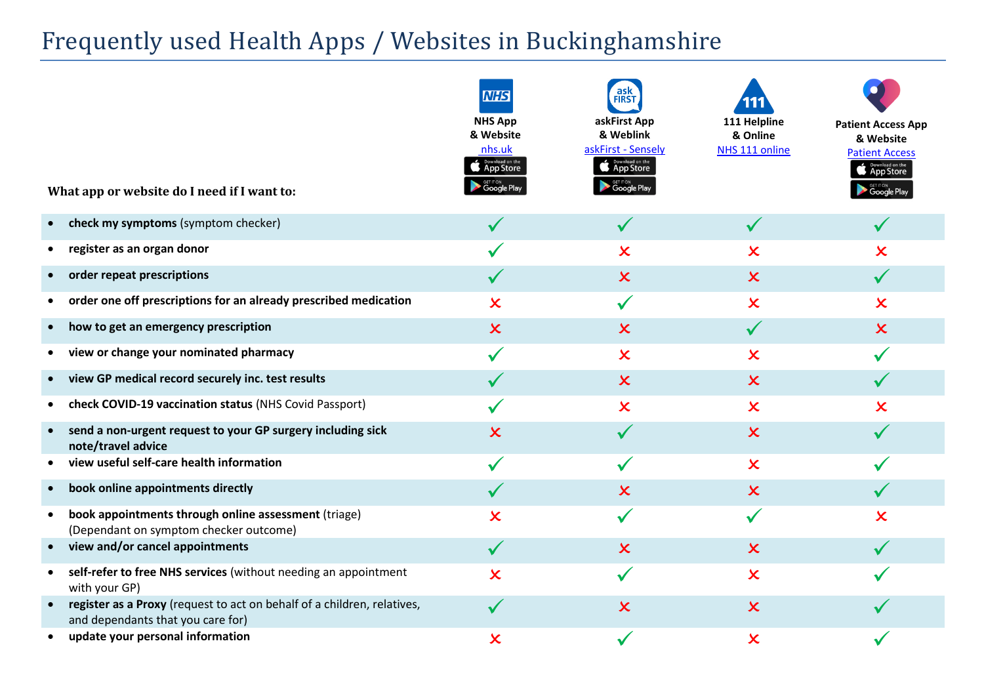# Frequently used Health Apps / Websites in Buckinghamshire

| What app or website do I need if I want to:                                                                  | <b>NHS</b><br><b>NHS App</b><br>& Website<br>nhs.uk<br>Download on the<br>GET IT ON<br><b>Google Pla</b> y | ask<br><b>FIRST</b><br>askFirst App<br>& Weblink<br>askFirst - Sensely<br><b>C</b> App Store<br>GET IT ON<br><b>Google Play</b> | 111 Helpline<br>& Online<br>NHS 111 online | <b>Patient Access App</b><br>& Website<br><b>Patient Access</b><br><b>Download on the App Store</b><br><b>SET IT ON</b><br><b>Google Play</b> |
|--------------------------------------------------------------------------------------------------------------|------------------------------------------------------------------------------------------------------------|---------------------------------------------------------------------------------------------------------------------------------|--------------------------------------------|-----------------------------------------------------------------------------------------------------------------------------------------------|
| check my symptoms (symptom checker)                                                                          |                                                                                                            | $\checkmark$                                                                                                                    | $\checkmark$                               |                                                                                                                                               |
| register as an organ donor                                                                                   |                                                                                                            | $\boldsymbol{\mathsf{x}}$                                                                                                       | $\boldsymbol{\mathsf{x}}$                  | $\overline{\mathsf{x}}$                                                                                                                       |
| order repeat prescriptions                                                                                   |                                                                                                            | $\boldsymbol{\mathsf{x}}$                                                                                                       | $\boldsymbol{\mathsf{x}}$                  |                                                                                                                                               |
| order one off prescriptions for an already prescribed medication                                             | $\overline{\mathsf{x}}$                                                                                    | $\checkmark$                                                                                                                    | $\boldsymbol{\mathsf{x}}$                  | $\boldsymbol{\mathsf{x}}$                                                                                                                     |
| how to get an emergency prescription                                                                         | $\boldsymbol{\mathsf{x}}$                                                                                  | $\boldsymbol{\mathsf{x}}$                                                                                                       | $\checkmark$                               | $\boldsymbol{\mathsf{x}}$                                                                                                                     |
| view or change your nominated pharmacy                                                                       |                                                                                                            | $\boldsymbol{\mathsf{x}}$                                                                                                       | $\boldsymbol{\mathsf{x}}$                  |                                                                                                                                               |
| view GP medical record securely inc. test results                                                            |                                                                                                            | $\boldsymbol{\mathsf{x}}$                                                                                                       | $\overline{\mathsf{x}}$                    |                                                                                                                                               |
| check COVID-19 vaccination status (NHS Covid Passport)                                                       |                                                                                                            | $\boldsymbol{\mathsf{x}}$                                                                                                       | $\boldsymbol{\mathsf{x}}$                  | $\boldsymbol{\mathsf{x}}$                                                                                                                     |
| send a non-urgent request to your GP surgery including sick<br>$\bullet$<br>note/travel advice               | $\boldsymbol{\mathsf{x}}$                                                                                  |                                                                                                                                 | $\boldsymbol{\mathsf{x}}$                  |                                                                                                                                               |
| view useful self-care health information                                                                     |                                                                                                            |                                                                                                                                 | $\boldsymbol{\mathsf{x}}$                  |                                                                                                                                               |
| book online appointments directly                                                                            | $\checkmark$                                                                                               | $\overline{\mathsf{x}}$                                                                                                         | $\boldsymbol{\mathsf{x}}$                  |                                                                                                                                               |
| book appointments through online assessment (triage)<br>$\bullet$<br>(Dependant on symptom checker outcome)  | $\boldsymbol{\mathsf{x}}$                                                                                  |                                                                                                                                 | $\checkmark$                               | $\boldsymbol{\mathsf{x}}$                                                                                                                     |
| view and/or cancel appointments<br>$\bullet$                                                                 | $\checkmark$                                                                                               | $\boldsymbol{\mathsf{x}}$                                                                                                       | $\boldsymbol{\mathsf{x}}$                  |                                                                                                                                               |
| self-refer to free NHS services (without needing an appointment<br>$\bullet$<br>with your GP)                | $\overline{\mathsf{x}}$                                                                                    |                                                                                                                                 | $\overline{\mathsf{x}}$                    |                                                                                                                                               |
| register as a Proxy (request to act on behalf of a children, relatives,<br>and dependants that you care for) | $\checkmark$                                                                                               | $\overline{\mathsf{x}}$                                                                                                         | $\overline{\mathsf{x}}$                    |                                                                                                                                               |
| update your personal information                                                                             | $\boldsymbol{\mathsf{x}}$                                                                                  |                                                                                                                                 | $\overline{\mathsf{x}}$                    |                                                                                                                                               |